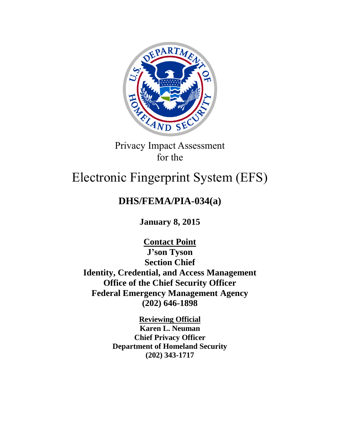

Privacy Impact Assessment for the

# Electronic Fingerprint System (EFS)

## **DHS/FEMA/PIA-034(a)**

**January 8, 2015**

**Contact Point J'son Tyson Section Chief Identity, Credential, and Access Management Office of the Chief Security Officer Federal Emergency Management Agency (202) 646-1898**

> **Reviewing Official Karen L. Neuman Chief Privacy Officer Department of Homeland Security (202) 343-1717**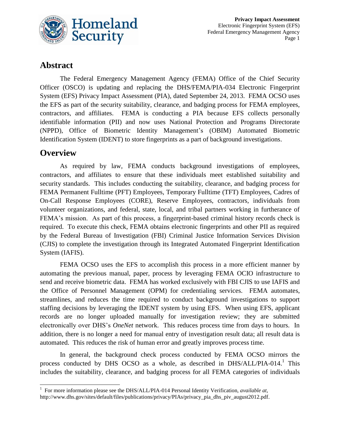

## **Abstract**

The Federal Emergency Management Agency (FEMA) Office of the Chief Security Officer (OSCO) is updating and replacing the DHS/FEMA/PIA-034 Electronic Fingerprint System (EFS) Privacy Impact Assessment (PIA), dated September 24, 2013. FEMA OCSO uses the EFS as part of the security suitability, clearance, and badging process for FEMA employees, contractors, and affiliates. FEMA is conducting a PIA because EFS collects personally identifiable information (PII) and now uses National Protection and Programs Directorate (NPPD), Office of Biometric Identity Management's (OBIM) Automated Biometric Identification System (IDENT) to store fingerprints as a part of background investigations.

## **Overview**

As required by law, FEMA conducts background investigations of employees, contractors, and affiliates to ensure that these individuals meet established suitability and security standards. This includes conducting the suitability, clearance, and badging process for FEMA Permanent Fulltime (PFT) Employees, Temporary Fulltime (TFT) Employees, Cadres of On-Call Response Employees (CORE), Reserve Employees, contractors, individuals from volunteer organizations, and federal, state, local, and tribal partners working in furtherance of FEMA's mission. As part of this process, a fingerprint-based criminal history records check is required. To execute this check, FEMA obtains electronic fingerprints and other PII as required by the Federal Bureau of Investigation (FBI) Criminal Justice Information Services Division (CJIS) to complete the investigation through its Integrated Automated Fingerprint Identification System (IAFIS).

FEMA OCSO uses the EFS to accomplish this process in a more efficient manner by automating the previous manual, paper, process by leveraging FEMA OCIO infrastructure to send and receive biometric data. FEMA has worked exclusively with FBI CJIS to use IAFIS and the Office of Personnel Management (OPM) for credentialing services. FEMA automates, streamlines, and reduces the time required to conduct background investigations to support staffing decisions by leveraging the IDENT system by using EFS. When using EFS, applicant records are no longer uploaded manually for investigation review; they are submitted electronically over DHS's *OneNet* network. This reduces process time from days to hours. In addition, there is no longer a need for manual entry of investigation result data; all result data is automated. This reduces the risk of human error and greatly improves process time.

In general, the background check process conducted by FEMA OCSO mirrors the process conducted by DHS OCSO as a whole, as described in DHS/ALL/PIA-014.<sup>1</sup> This includes the suitability, clearance, and badging process for all FEMA categories of individuals

 1 For more information please see the DHS/ALL/PIA-014 Personal Identity Verification, *available at*, [http://www.dhs.gov/sites/default/files/publications/privacy/PIAs/privacy\\_pia\\_dhs\\_piv\\_august2012.pdf.](http://www.dhs.gov/sites/default/files/publications/privacy/PIAs/privacy_pia_dhs_piv_august2012.pdf)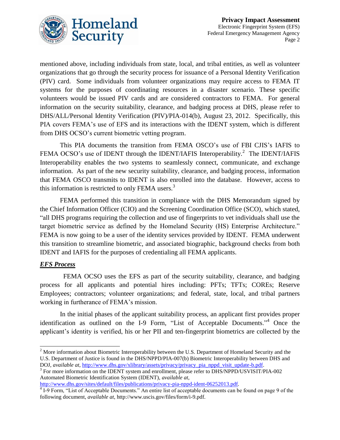

mentioned above, including individuals from state, local, and tribal entities, as well as volunteer organizations that go through the security process for issuance of a Personal Identity Verification (PIV) card. Some individuals from volunteer organizations may require access to FEMA IT systems for the purposes of coordinating resources in a disaster scenario. These specific volunteers would be issued PIV cards and are considered contractors to FEMA. For general information on the security suitability, clearance, and badging process at DHS, please refer to DHS/ALL/Personal Identity Verification (PIV)/PIA-014(b), August 23, 2012. Specifically, this PIA covers FEMA's use of EFS and its interactions with the IDENT system, which is different from DHS OCSO's current biometric vetting program.

This PIA documents the transition from FEMA OSCO's use of FBI CJIS's IAFIS to FEMA OCSO's use of IDENT through the IDENT/IAFIS Interoperability.<sup>2</sup> The IDENT/IAFIS Interoperability enables the two systems to seamlessly connect, communicate, and exchange information. As part of the new security suitability, clearance, and badging process, information that FEMA OSCO transmits to IDENT is also enrolled into the database. However, access to this information is restricted to only FEMA users. $3$ 

FEMA performed this transition in compliance with the DHS Memorandum signed by the Chief Information Officer (CIO) and the Screening Coordination Office (SCO), which stated, "all DHS programs requiring the collection and use of fingerprints to vet individuals shall use the target biometric service as defined by the Homeland Security (HS) Enterprise Architecture." FEMA is now going to be a user of the identity services provided by IDENT. FEMA underwent this transition to streamline biometric, and associated biographic, background checks from both IDENT and IAFIS for the purposes of credentialing all FEMA applicants.

#### *EFS Process*

 $\overline{a}$ 

 FEMA OCSO uses the EFS as part of the security suitability, clearance, and badging process for all applicants and potential hires including: PFTs; TFTs; COREs; Reserve Employees; contractors; volunteer organizations; and federal, state, local, and tribal partners working in furtherance of FEMA's mission.

In the initial phases of the applicant suitability process, an applicant first provides proper identification as outlined on the I-9 Form, "List of Acceptable Documents."<sup>4</sup> Once the applicant's identity is verified, his or her PII and ten-fingerprint biometrics are collected by the

[http://www.dhs.gov/sites/default/files/publications/privacy-pia-nppd-ident-06252013.pdf.](http://www.dhs.gov/sites/default/files/publications/privacy-pia-nppd-ident-06252013.pdf) 

 $2^{2}$  More information about Biometric Interoperability between the U.S. Department of Homeland Security and the U.S. Department of Justice is found in the DHS/NPPD/PIA-007(b) Biometric Interoperability between DHS and DOJ, *available at*, [http://www.dhs.gov/xlibrary/assets/privacy/privacy\\_pia\\_nppd\\_visit\\_update-b.pdf.](http://www.dhs.gov/xlibrary/assets/privacy/privacy_pia_nppd_visit_update-b.pdf)

<sup>&</sup>lt;sup>3</sup> For more information on the IDENT system and enrollment, please refer to DHS/NPPD/USVISIT/PIA-002 Automated Biometric Identification System (IDENT), *available at*,

<sup>&</sup>lt;sup>4</sup> I-9 Form, "List of Acceptable Documents." An entire list of acceptable documents can be found on page 9 of the following document, *available at*, [http://www.uscis.gov/files/form/i-9.pdf.](http://www.uscis.gov/files/form/i-9.pdf)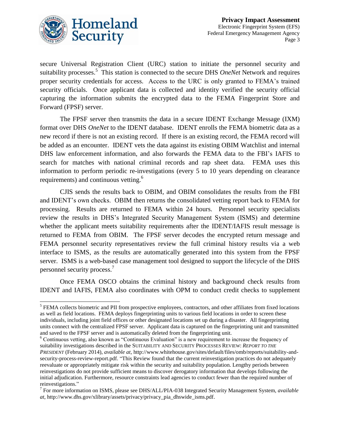

secure Universal Registration Client (URC) station to initiate the personnel security and suitability processes. 5 This station is connected to the secure DHS *OneNet* Network and requires proper security credentials for access. Access to the URC is only granted to FEMA's trained security officials. Once applicant data is collected and identity verified the security official capturing the information submits the encrypted data to the FEMA Fingerprint Store and Forward (FPSF) server.

The FPSF server then transmits the data in a secure IDENT Exchange Message (IXM) format over DHS *OneNet* to the IDENT database. IDENT enrolls the FEMA biometric data as a new record if there is not an existing record. If there is an existing record, the FEMA record will be added as an encounter. IDENT vets the data against its existing OBIM Watchlist and internal DHS law enforcement information, and also forwards the FEMA data to the FBI's IAFIS to search for matches with national criminal records and rap sheet data. FEMA uses this information to perform periodic re-investigations (every 5 to 10 years depending on clearance requirements) and continuous vetting.<sup>6</sup>

CJIS sends the results back to OBIM, and OBIM consolidates the results from the FBI and IDENT's own checks. OBIM then returns the consolidated vetting report back to FEMA for processing. Results are returned to FEMA within 24 hours. Personnel security specialists review the results in DHS's Integrated Security Management System (ISMS) and determine whether the applicant meets suitability requirements after the IDENT/IAFIS result message is returned to FEMA from OBIM. The FPSF server decodes the encrypted return message and FEMA personnel security representatives review the full criminal history results via a web interface to ISMS, as the results are automatically generated into this system from the FPSF server. ISMS is a web-based case management tool designed to support the lifecycle of the DHS personnel security process. 7

Once FEMA OSCO obtains the criminal history and background check results from IDENT and IAFIS, FEMA also coordinates with OPM to conduct credit checks to supplement

l <sup>5</sup> FEMA collects biometric and PII from prospective employees, contractors, and other affiliates from fixed locations as well as field locations. FEMA deploys fingerprinting units to various field locations in order to screen these individuals, including joint field offices or other designated locations set up during a disaster. All fingerprinting units connect with the centralized FPSF server. Applicant data is captured on the fingerprinting unit and transmitted and saved to the FPSF server and is automatically deleted from the fingerprinting unit.

<sup>6</sup> Continuous vetting, also known as "Continuous Evaluation" is a new requirement to increase the frequency of suitability investigations described in the SUITABILITY AND SECURITY PROCESSES REVIEW: *REPORT TO THE PRESIDENT* (February 2014), *available at,* http://www.whitehouse.gov/sites/default/files/omb/reports/suitability-andsecurity-process-review-report.pdf. "This Review found that the current reinvestigation practices do not adequately reevaluate or appropriately mitigate risk within the security and suitability population. Lengthy periods between reinvestigations do not provide sufficient means to discover derogatory information that develops following the initial adjudication. Furthermore, resource constraints lead agencies to conduct fewer than the required number of reinvestigations."

<sup>7</sup> For more information on ISMS, please see DHS/ALL/PIA-038 Integrated Security Management System, *available at*, [http://www.dhs.gov/xlibrary/assets/privacy/privacy\\_pia\\_dhswide\\_isms.pdf.](http://www.dhs.gov/xlibrary/assets/privacy/privacy_pia_dhswide_isms.pdf)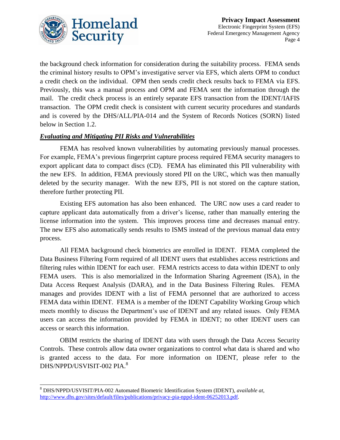

the background check information for consideration during the suitability process. FEMA sends the criminal history results to OPM's investigative server via EFS, which alerts OPM to conduct a credit check on the individual. OPM then sends credit check results back to FEMA via EFS. Previously, this was a manual process and OPM and FEMA sent the information through the mail. The credit check process is an entirely separate EFS transaction from the IDENT/IAFIS transaction. The OPM credit check is consistent with current security procedures and standards and is covered by the DHS/ALL/PIA-014 and the System of Records Notices (SORN) listed below in Section 1.2.

#### *Evaluating and Mitigating PII Risks and Vulnerabilities*

FEMA has resolved known vulnerabilities by automating previously manual processes. For example, FEMA's previous fingerprint capture process required FEMA security managers to export applicant data to compact discs (CD). FEMA has eliminated this PII vulnerability with the new EFS. In addition, FEMA previously stored PII on the URC, which was then manually deleted by the security manager. With the new EFS, PII is not stored on the capture station, therefore further protecting PII.

Existing EFS automation has also been enhanced. The URC now uses a card reader to capture applicant data automatically from a driver's license, rather than manually entering the license information into the system. This improves process time and decreases manual entry. The new EFS also automatically sends results to ISMS instead of the previous manual data entry process.

All FEMA background check biometrics are enrolled in IDENT. FEMA completed the Data Business Filtering Form required of all IDENT users that establishes access restrictions and filtering rules within IDENT for each user. FEMA restricts access to data within IDENT to only FEMA users. This is also memorialized in the Information Sharing Agreement (ISA), in the Data Access Request Analysis (DARA), and in the Data Business Filtering Rules. FEMA manages and provides IDENT with a list of FEMA personnel that are authorized to access FEMA data within IDENT. FEMA is a member of the IDENT Capability Working Group which meets monthly to discuss the Department's use of IDENT and any related issues. Only FEMA users can access the information provided by FEMA in IDENT; no other IDENT users can access or search this information.

OBIM restricts the sharing of IDENT data with users through the Data Access Security Controls. These controls allow data owner organizations to control what data is shared and who is granted access to the data. For more information on IDENT, please refer to the DHS/NPPD/USVISIT-002 PIA.<sup>8</sup>

 $\overline{a}$ 

<sup>8</sup> DHS/NPPD/USVISIT/PIA-002 Automated Biometric Identification System (IDENT), *available at*, [http://www.dhs.gov/sites/default/files/publications/privacy-pia-nppd-ident-06252013.pdf.](http://www.dhs.gov/sites/default/files/publications/privacy-pia-nppd-ident-06252013.pdf)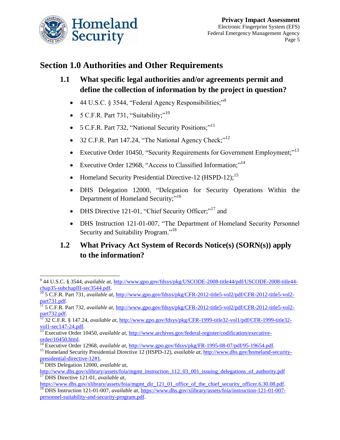

## **Section 1.0 Authorities and Other Requirements**

- **1.1 What specific legal authorities and/or agreements permit and define the collection of information by the project in question?** 
	- 44 U.S.C. § 3544, "Federal Agency Responsibilities;"<sup>9</sup>
	- 5 C.F.R. Part 731, "Suitability;"<sup>10</sup>
	- 5 C.F.R. Part 732, "National Security Positions;"<sup>11</sup>
	- 32 C.F.R. Part 147.24, "The National Agency Check;"<sup>12</sup>
	- Executive Order 10450, "Security Requirements for Government Employment;"<sup>13</sup>
	- Executive Order 12968, "Access to Classified Information;"<sup>14</sup>
	- Homeland Security Presidential Directive-12 (HSPD-12);<sup>15</sup>
	- DHS Delegation 12000, "Delegation for Security Operations Within the Department of Homeland Security;"<sup>16</sup>
	- DHS Directive 121-01, "Chief Security Officer;"<sup>17</sup> and
	- DHS Instruction 121-01-007, "The Department of Homeland Security Personnel Security and Suitability Program."<sup>18</sup>

## **1.2 What Privacy Act System of Records Notice(s) (SORN(s)) apply to the information?**

l 9 44 U.S.C. § 3544, *available at*[, http://www.gpo.gov/fdsys/pkg/USCODE-2008-title44/pdf/USCODE-2008-title44](http://www.gpo.gov/fdsys/pkg/USCODE-2008-title44/pdf/USCODE-2008-title44-chap35-subchapIII-sec3544.pdf) [chap35-subchapIII-sec3544.pdf.](http://www.gpo.gov/fdsys/pkg/USCODE-2008-title44/pdf/USCODE-2008-title44-chap35-subchapIII-sec3544.pdf)

<sup>10</sup> 5 C.F.R. Part 731, *available at*, [http://www.gpo.gov/fdsys/pkg/CFR-2012-title5-vol2/pdf/CFR-2012-title5-vol2](http://www.gpo.gov/fdsys/pkg/CFR-2012-title5-vol2/pdf/CFR-2012-title5-vol2-part731.pdf) [part731.pdf.](http://www.gpo.gov/fdsys/pkg/CFR-2012-title5-vol2/pdf/CFR-2012-title5-vol2-part731.pdf)

<sup>11</sup> 5 C.F.R. Part 732, *available at*[, http://www.gpo.gov/fdsys/pkg/CFR-2012-title5-vol2/pdf/CFR-2012-title5-vol2](http://www.gpo.gov/fdsys/pkg/CFR-2012-title5-vol2/pdf/CFR-2012-title5-vol2-part732.pdf) [part732.pdf.](http://www.gpo.gov/fdsys/pkg/CFR-2012-title5-vol2/pdf/CFR-2012-title5-vol2-part732.pdf) 

<sup>12</sup> 32 C.F.R. § 147.24, *available at*, [http://www.gpo.gov/fdsys/pkg/CFR-1999-title32-vol1/pdf/CFR-1999-title32](http://www.gpo.gov/fdsys/pkg/CFR-1999-title32-vol1/pdf/CFR-1999-title32-vol1-sec147-24.pdf) [vol1-sec147-24.pdf.](http://www.gpo.gov/fdsys/pkg/CFR-1999-title32-vol1/pdf/CFR-1999-title32-vol1-sec147-24.pdf)

<sup>13</sup> Executive Order 10450, *available at*, [http://www.archives.gov/federal-register/codification/executive](http://www.archives.gov/federal-register/codification/executive-order/10450.html)[order/10450.html.](http://www.archives.gov/federal-register/codification/executive-order/10450.html)

<sup>&</sup>lt;sup>14</sup> Executive Order 12968, *available at*, [http://www.gpo.gov/fdsys/pkg/FR-1995-08-07/pdf/95-19654.pdf.](http://www.gpo.gov/fdsys/pkg/FR-1995-08-07/pdf/95-19654.pdf)

<sup>15</sup> Homeland Security Presidential Directive 12 (HSPD-12), *available at*, [http://www.dhs.gov/homeland-security](http://www.dhs.gov/homeland-security-presidential-directive-12#1)[presidential-directive-12#1.](http://www.dhs.gov/homeland-security-presidential-directive-12#1)

<sup>16</sup> DHS Delegation 12000, *available at*,

[http://www.dhs.gov/xlibrary/assets/foia/mgmt\\_instruction\\_112\\_03\\_001\\_issuing\\_delegations\\_of\\_authority.pdf](http://www.dhs.gov/xlibrary/assets/foia/mgmt_instruction_112_03_001_issuing_delegations_of_authority.pdf) <sup>17</sup> DHS Directive 121-01, *available at*,

[https://www.dhs.gov/xlibrary/assets/foia/mgmt\\_dir\\_121\\_01\\_office\\_of\\_the\\_chief\\_security\\_officer.6.30.08.pdf.](https://www.dhs.gov/xlibrary/assets/foia/mgmt_dir_121_01_office_of_the_chief_security_officer.6.30.08.pdf) <sup>18</sup> DHS Instruction 121-01-007, *available at*[, https://www.dhs.gov/xlibrary/assets/foia/instruction-121-01-007](https://www.dhs.gov/xlibrary/assets/foia/instruction-121-01-007-personnel-suitability-and-security-program.pdf) [personnel-suitability-and-security-program.pdf.](https://www.dhs.gov/xlibrary/assets/foia/instruction-121-01-007-personnel-suitability-and-security-program.pdf)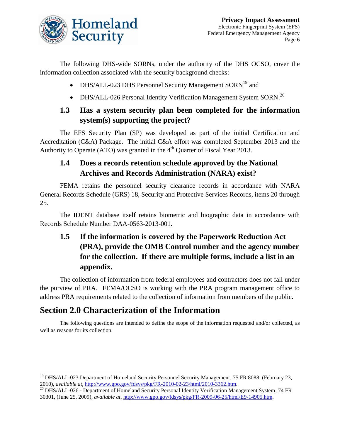

The following DHS-wide SORNs, under the authority of the DHS OCSO, cover the information collection associated with the security background checks:

- DHS/ALL-023 DHS Personnel Security Management  $SORN<sup>19</sup>$  and
- DHS/ALL-026 Personal Identity Verification Management System SORN.<sup>20</sup>

## **1.3 Has a system security plan been completed for the information system(s) supporting the project?**

The EFS Security Plan (SP) was developed as part of the initial Certification and Accreditation (C&A) Package. The initial C&A effort was completed September 2013 and the Authority to Operate (ATO) was granted in the  $4<sup>th</sup>$  Quarter of Fiscal Year 2013.

## **1.4 Does a records retention schedule approved by the National Archives and Records Administration (NARA) exist?**

FEMA retains the personnel security clearance records in accordance with NARA General Records Schedule (GRS) 18, Security and Protective Services Records, items 20 through 25.

The IDENT database itself retains biometric and biographic data in accordance with Records Schedule Number DAA-0563-2013-001.

## **1.5 If the information is covered by the Paperwork Reduction Act (PRA), provide the OMB Control number and the agency number for the collection. If there are multiple forms, include a list in an appendix.**

The collection of information from federal employees and contractors does not fall under the purview of PRA. FEMA/OCSO is working with the PRA program management office to address PRA requirements related to the collection of information from members of the public.

## **Section 2.0 Characterization of the Information**

 $\overline{\phantom{a}}$ 

The following questions are intended to define the scope of the information requested and/or collected, as well as reasons for its collection.

<sup>&</sup>lt;sup>19</sup> DHS/ALL-023 Department of Homeland Security Personnel Security Management, 75 FR 8088, (February 23, 2010), *available at*, [http://www.gpo.gov/fdsys/pkg/FR-2010-02-23/html/2010-3362.htm.](http://www.gpo.gov/fdsys/pkg/FR-2010-02-23/html/2010-3362.htm)

<sup>&</sup>lt;sup>20</sup> DHS/ALL-026 - Department of Homeland Security Personal Identity Verification Management System, 74 FR 30301, (June 25, 2009), *available at*, [http://www.gpo.gov/fdsys/pkg/FR-2009-06-25/html/E9-14905.htm.](http://www.gpo.gov/fdsys/pkg/FR-2009-06-25/html/E9-14905.htm)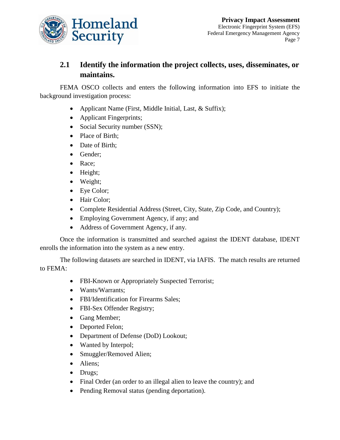

## **2.1 Identify the information the project collects, uses, disseminates, or maintains.**

FEMA OSCO collects and enters the following information into EFS to initiate the background investigation process:

- Applicant Name (First, Middle Initial, Last, & Suffix);
- Applicant Fingerprints;
- Social Security number (SSN);
- Place of Birth;
- Date of Birth;
- Gender;
- Race;
- Height;
- Weight;
- Eye Color;
- Hair Color;
- Complete Residential Address (Street, City, State, Zip Code, and Country);
- Employing Government Agency, if any; and
- Address of Government Agency, if any.

Once the information is transmitted and searched against the IDENT database, IDENT enrolls the information into the system as a new entry.

The following datasets are searched in IDENT, via IAFIS. The match results are returned to FEMA:

- FBI-Known or Appropriately Suspected Terrorist;
- Wants/Warrants;
- FBI/Identification for Firearms Sales;
- FBI-Sex Offender Registry;
- Gang Member;
- Deported Felon;
- Department of Defense (DoD) Lookout;
- Wanted by Interpol;
- Smuggler/Removed Alien;
- Aliens;
- Drugs;
- Final Order (an order to an illegal alien to leave the country); and
- Pending Removal status (pending deportation).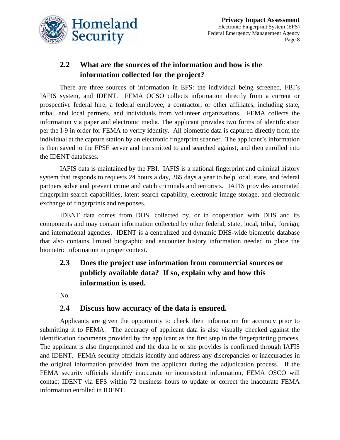

## **2.2 What are the sources of the information and how is the information collected for the project?**

There are three sources of information in EFS: the individual being screened, FBI's IAFIS system, and IDENT. FEMA OCSO collects information directly from a current or prospective federal hire, a federal employee, a contractor, or other affiliates, including state, tribal, and local partners, and individuals from volunteer organizations. FEMA collects the information via paper and electronic media. The applicant provides two forms of identification per the I-9 in order for FEMA to verify identity. All biometric data is captured directly from the individual at the capture station by an electronic fingerprint scanner. The applicant's information is then saved to the FPSF server and transmitted to and searched against, and then enrolled into the IDENT databases.

IAFIS data is maintained by the FBI. IAFIS is a national fingerprint and criminal history system that responds to requests 24 hours a day, 365 days a year to help local, state, and federal partners solve and prevent crime and catch criminals and terrorists. IAFIS provides automated fingerprint search capabilities, latent search capability, electronic image storage, and electronic exchange of fingerprints and responses.

IDENT data comes from DHS, collected by, or in cooperation with DHS and its components and may contain information collected by other federal, state, local, tribal, foreign, and international agencies. IDENT is a centralized and dynamic DHS-wide biometric database that also contains limited biographic and encounter history information needed to place the biometric information in proper context.

## **2.3 Does the project use information from commercial sources or publicly available data? If so, explain why and how this information is used.**

No.

#### **2.4 Discuss how accuracy of the data is ensured.**

Applicants are given the opportunity to check their information for accuracy prior to submitting it to FEMA. The accuracy of applicant data is also visually checked against the identification documents provided by the applicant as the first step in the fingerprinting process. The applicant is also fingerprinted and the data he or she provides is confirmed through IAFIS and IDENT. FEMA security officials identify and address any discrepancies or inaccuracies in the original information provided from the applicant during the adjudication process. If the FEMA security officials identify inaccurate or inconsistent information, FEMA OSCO will contact IDENT via EFS within 72 business hours to update or correct the inaccurate FEMA information enrolled in IDENT.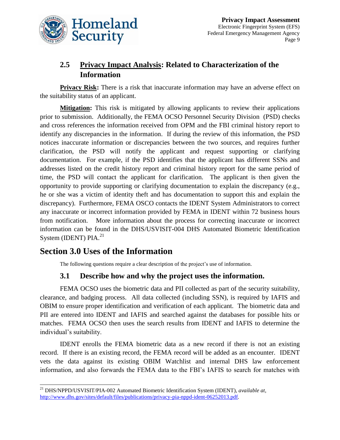

## **2.5 Privacy Impact Analysis: Related to Characterization of the Information**

**Privacy Risk:** There is a risk that inaccurate information may have an adverse effect on the suitability status of an applicant.

**Mitigation:** This risk is mitigated by allowing applicants to review their applications prior to submission. Additionally, the FEMA OCSO Personnel Security Division (PSD) checks and cross references the information received from OPM and the FBI criminal history report to identify any discrepancies in the information. If during the review of this information, the PSD notices inaccurate information or discrepancies between the two sources, and requires further clarification, the PSD will notify the applicant and request supporting or clarifying documentation. For example, if the PSD identifies that the applicant has different SSNs and addresses listed on the credit history report and criminal history report for the same period of time, the PSD will contact the applicant for clarification. The applicant is then given the opportunity to provide supporting or clarifying documentation to explain the discrepancy (e.g., he or she was a victim of identity theft and has documentation to support this and explain the discrepancy). Furthermore, FEMA OSCO contacts the IDENT System Administrators to correct any inaccurate or incorrect information provided by FEMA in IDENT within 72 business hours from notification. More information about the process for correcting inaccurate or incorrect information can be found in the DHS/USVISIT-004 DHS Automated Biometric Identification System (IDENT) PIA.<sup>21</sup>

## **Section 3.0 Uses of the Information**

The following questions require a clear description of the project's use of information.

### **3.1 Describe how and why the project uses the information.**

FEMA OCSO uses the biometric data and PII collected as part of the security suitability, clearance, and badging process. All data collected (including SSN), is required by IAFIS and OBIM to ensure proper identification and verification of each applicant. The biometric data and PII are entered into IDENT and IAFIS and searched against the databases for possible hits or matches. FEMA OCSO then uses the search results from IDENT and IAFIS to determine the individual's suitability.

IDENT enrolls the FEMA biometric data as a new record if there is not an existing record. If there is an existing record, the FEMA record will be added as an encounter. IDENT vets the data against its existing OBIM Watchlist and internal DHS law enforcement information, and also forwards the FEMA data to the FBI's IAFIS to search for matches with

 $\overline{a}$ <sup>21</sup> DHS/NPPD/USVISIT/PIA-002 Automated Biometric Identification System (IDENT), *available at*, [http://www.dhs.gov/sites/default/files/publications/privacy-pia-nppd-ident-06252013.pdf.](http://www.dhs.gov/sites/default/files/publications/privacy-pia-nppd-ident-06252013.pdf)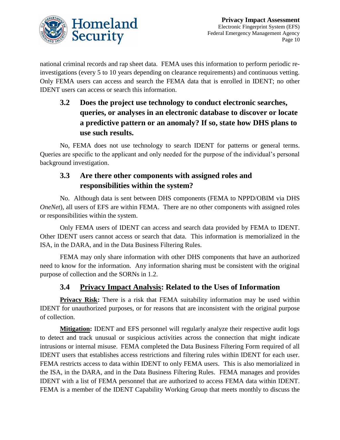

national criminal records and rap sheet data. FEMA uses this information to perform periodic reinvestigations (every 5 to 10 years depending on clearance requirements) and continuous vetting. Only FEMA users can access and search the FEMA data that is enrolled in IDENT; no other IDENT users can access or search this information.

## **3.2 Does the project use technology to conduct electronic searches, queries, or analyses in an electronic database to discover or locate a predictive pattern or an anomaly? If so, state how DHS plans to use such results.**

No, FEMA does not use technology to search IDENT for patterns or general terms. Queries are specific to the applicant and only needed for the purpose of the individual's personal background investigation.

## **3.3 Are there other components with assigned roles and responsibilities within the system?**

No. Although data is sent between DHS components (FEMA to NPPD/OBIM via DHS *OneNet*), all users of EFS are within FEMA. There are no other components with assigned roles or responsibilities within the system.

Only FEMA users of IDENT can access and search data provided by FEMA to IDENT. Other IDENT users cannot access or search that data. This information is memorialized in the ISA, in the DARA, and in the Data Business Filtering Rules.

FEMA may only share information with other DHS components that have an authorized need to know for the information. Any information sharing must be consistent with the original purpose of collection and the SORNs in 1.2.

## **3.4 Privacy Impact Analysis: Related to the Uses of Information**

**Privacy Risk:** There is a risk that FEMA suitability information may be used within IDENT for unauthorized purposes, or for reasons that are inconsistent with the original purpose of collection.

**Mitigation:** IDENT and EFS personnel will regularly analyze their respective audit logs to detect and track unusual or suspicious activities across the connection that might indicate intrusions or internal misuse. FEMA completed the Data Business Filtering Form required of all IDENT users that establishes access restrictions and filtering rules within IDENT for each user. FEMA restricts access to data within IDENT to only FEMA users. This is also memorialized in the ISA, in the DARA, and in the Data Business Filtering Rules. FEMA manages and provides IDENT with a list of FEMA personnel that are authorized to access FEMA data within IDENT. FEMA is a member of the IDENT Capability Working Group that meets monthly to discuss the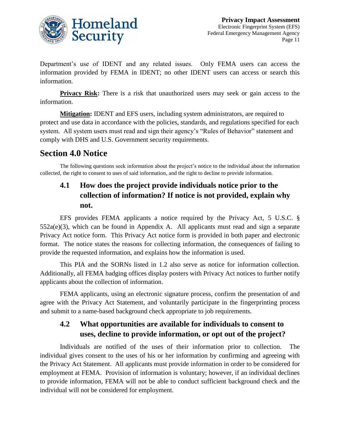

Department's use of IDENT and any related issues. Only FEMA users can access the information provided by FEMA in IDENT; no other IDENT users can access or search this information.

**Privacy Risk:** There is a risk that unauthorized users may seek or gain access to the information.

**Mitigation:** IDENT and EFS users, including system administrators, are required to protect and use data in accordance with the policies, standards, and regulations specified for each system. All system users must read and sign their agency's "Rules of Behavior" statement and comply with DHS and U.S. Government security requirements.

## **Section 4.0 Notice**

The following questions seek information about the project's notice to the individual about the information collected, the right to consent to uses of said information, and the right to decline to provide information.

## **4.1 How does the project provide individuals notice prior to the collection of information? If notice is not provided, explain why not.**

EFS provides FEMA applicants a notice required by the Privacy Act, 5 U.S.C. § 552a(e)(3), which can be found in Appendix A. All applicants must read and sign a separate Privacy Act notice form. This Privacy Act notice form is provided in both paper and electronic format. The notice states the reasons for collecting information, the consequences of failing to provide the requested information, and explains how the information is used.

This PIA and the SORNs listed in 1.2 also serve as notice for information collection. Additionally, all FEMA badging offices display posters with Privacy Act notices to further notify applicants about the collection of information.

FEMA applicants, using an electronic signature process, confirm the presentation of and agree with the Privacy Act Statement, and voluntarily participate in the fingerprinting process and submit to a name-based background check appropriate to job requirements.

## **4.2 What opportunities are available for individuals to consent to uses, decline to provide information, or opt out of the project?**

Individuals are notified of the uses of their information prior to collection. The individual gives consent to the uses of his or her information by confirming and agreeing with the Privacy Act Statement. All applicants must provide information in order to be considered for employment at FEMA. Provision of information is voluntary; however, if an individual declines to provide information, FEMA will not be able to conduct sufficient background check and the individual will not be considered for employment.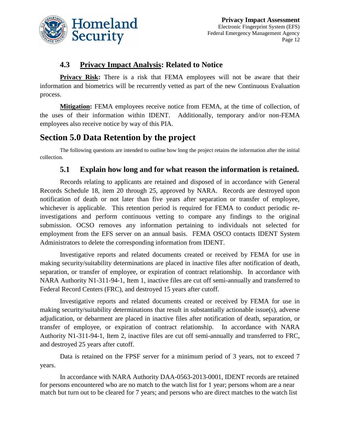

#### **4.3 Privacy Impact Analysis: Related to Notice**

**Privacy Risk:** There is a risk that FEMA employees will not be aware that their information and biometrics will be recurrently vetted as part of the new Continuous Evaluation process.

**Mitigation:** FEMA employees receive notice from FEMA, at the time of collection, of the uses of their information within IDENT. Additionally, temporary and/or non-FEMA employees also receive notice by way of this PIA.

## **Section 5.0 Data Retention by the project**

The following questions are intended to outline how long the project retains the information after the initial collection.

#### **5.1 Explain how long and for what reason the information is retained.**

Records relating to applicants are retained and disposed of in accordance with General Records Schedule 18, item 20 through 25, approved by NARA. Records are destroyed upon notification of death or not later than five years after separation or transfer of employee, whichever is applicable. This retention period is required for FEMA to conduct periodic reinvestigations and perform continuous vetting to compare any findings to the original submission. OCSO removes any information pertaining to individuals not selected for employment from the EFS server on an annual basis. FEMA OSCO contacts IDENT System Administrators to delete the corresponding information from IDENT.

Investigative reports and related documents created or received by FEMA for use in making security/suitability determinations are placed in inactive files after notification of death, separation, or transfer of employee, or expiration of contract relationship. In accordance with NARA Authority N1-311-94-1, Item 1, inactive files are cut off semi-annually and transferred to Federal Record Centers (FRC), and destroyed 15 years after cutoff.

Investigative reports and related documents created or received by FEMA for use in making security/suitability determinations that result in substantially actionable issue(s), adverse adjudication, or debarment are placed in inactive files after notification of death, separation, or transfer of employee, or expiration of contract relationship. In accordance with NARA Authority N1-311-94-1, Item 2, inactive files are cut off semi-annually and transferred to FRC, and destroyed 25 years after cutoff.

Data is retained on the FPSF server for a minimum period of 3 years, not to exceed 7 years.

In accordance with NARA Authority DAA-0563-2013-0001, IDENT records are retained for persons encountered who are no match to the watch list for 1 year; persons whom are a near match but turn out to be cleared for 7 years; and persons who are direct matches to the watch list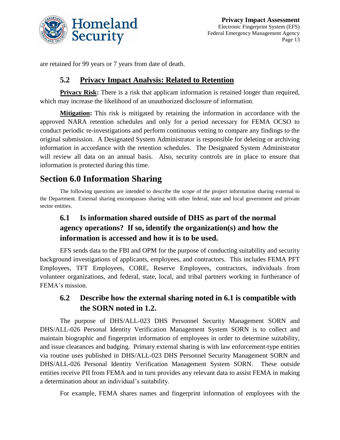

are retained for 99 years or 7 years from date of death.

#### **5.2 Privacy Impact Analysis: Related to Retention**

**Privacy Risk:** There is a risk that applicant information is retained longer than required, which may increase the likelihood of an unauthorized disclosure of information.

**Mitigation:** This risk is mitigated by retaining the information in accordance with the approved NARA retention schedules and only for a period necessary for FEMA OCSO to conduct periodic re-investigations and perform continuous vetting to compare any findings to the original submission. A Designated System Administrator is responsible for deleting or archiving information in accordance with the retention schedules. The Designated System Administrator will review all data on an annual basis. Also, security controls are in place to ensure that information is protected during this time.

## **Section 6.0 Information Sharing**

The following questions are intended to describe the scope of the project information sharing external to the Department. External sharing encompasses sharing with other federal, state and local government and private sector entities.

## **6.1 Is information shared outside of DHS as part of the normal agency operations? If so, identify the organization(s) and how the information is accessed and how it is to be used.**

EFS sends data to the FBI and OPM for the purpose of conducting suitability and security background investigations of applicants, employees, and contractors. This includes FEMA PFT Employees, TFT Employees, CORE, Reserve Employees, contractors, individuals from volunteer organizations, and federal, state, local, and tribal partners working in furtherance of FEMA's mission.

## **6.2 Describe how the external sharing noted in 6.1 is compatible with the SORN noted in 1.2.**

The purpose of DHS/ALL-023 DHS Personnel Security Management SORN and DHS/ALL-026 Personal Identity Verification Management System SORN is to collect and maintain biographic and fingerprint information of employees in order to determine suitability, and issue clearances and badging. Primary external sharing is with law enforcement-type entities via routine uses published in DHS/ALL-023 DHS Personnel Security Management SORN and DHS/ALL-026 Personal Identity Verification Management System SORN. These outside entities receive PII from FEMA and in turn provides any relevant data to assist FEMA in making a determination about an individual's suitability.

For example, FEMA shares names and fingerprint information of employees with the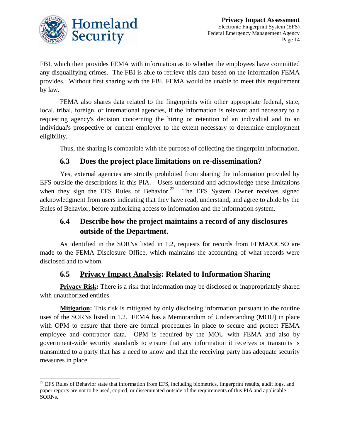

l

FBI, which then provides FEMA with information as to whether the employees have committed any disqualifying crimes. The FBI is able to retrieve this data based on the information FEMA provides. Without first sharing with the FBI, FEMA would be unable to meet this requirement by law.

FEMA also shares data related to the fingerprints with other appropriate federal, state, local, tribal, foreign, or international agencies, if the information is relevant and necessary to a requesting agency's decision concerning the hiring or retention of an individual and to an individual's prospective or current employer to the extent necessary to determine employment eligibility.

Thus, the sharing is compatible with the purpose of collecting the fingerprint information.

#### **6.3 Does the project place limitations on re-dissemination?**

Yes, external agencies are strictly prohibited from sharing the information provided by EFS outside the descriptions in this PIA. Users understand and acknowledge these limitations when they sign the EFS Rules of Behavior.<sup>22</sup> The EFS System Owner receives signed acknowledgment from users indicating that they have read, understand, and agree to abide by the Rules of Behavior, before authorizing access to information and the information system.

## **6.4 Describe how the project maintains a record of any disclosures outside of the Department.**

As identified in the SORNs listed in 1.2, requests for records from FEMA/OCSO are made to the FEMA Disclosure Office, which maintains the accounting of what records were disclosed and to whom.

#### **6.5 Privacy Impact Analysis: Related to Information Sharing**

**Privacy Risk:** There is a risk that information may be disclosed or inappropriately shared with unauthorized entities.

**Mitigation:** This risk is mitigated by only disclosing information pursuant to the routine uses of the SORNs listed in 1.2. FEMA has a Memorandum of Understanding (MOU) in place with OPM to ensure that there are formal procedures in place to secure and protect FEMA employee and contractor data. OPM is required by the MOU with FEMA and also by government-wide security standards to ensure that any information it receives or transmits is transmitted to a party that has a need to know and that the receiving party has adequate security measures in place.

 $22$  EFS Rules of Behavior state that information from EFS, including biometrics, fingerprint results, audit logs, and paper reports are not to be used, copied, or disseminated outside of the requirements of this PIA and applicable SORNs.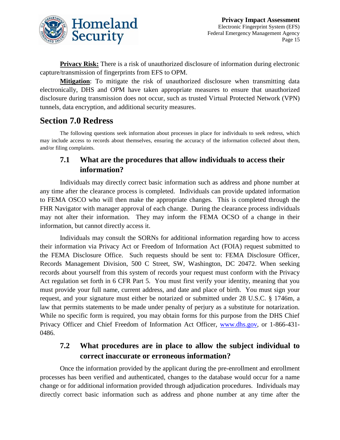

**Privacy Risk:** There is a risk of unauthorized disclosure of information during electronic capture/transmission of fingerprints from EFS to OPM.

**Mitigation**: To mitigate the risk of unauthorized disclosure when transmitting data electronically, DHS and OPM have taken appropriate measures to ensure that unauthorized disclosure during transmission does not occur, such as trusted Virtual Protected Network (VPN) tunnels, data encryption, and additional security measures.

## **Section 7.0 Redress**

The following questions seek information about processes in place for individuals to seek redress, which may include access to records about themselves, ensuring the accuracy of the information collected about them, and/or filing complaints.

## **7.1 What are the procedures that allow individuals to access their information?**

Individuals may directly correct basic information such as address and phone number at any time after the clearance process is completed. Individuals can provide updated information to FEMA OSCO who will then make the appropriate changes. This is completed through the FHR Navigator with manager approval of each change. During the clearance process individuals may not alter their information. They may inform the FEMA OCSO of a change in their information, but cannot directly access it.

Individuals may consult the SORNs for additional information regarding how to access their information via Privacy Act or Freedom of Information Act (FOIA) request submitted to the FEMA Disclosure Office. Such requests should be sent to: FEMA Disclosure Officer, Records Management Division, 500 C Street, SW, Washington, DC 20472. When seeking records about yourself from this system of records your request must conform with the Privacy Act regulation set forth in 6 CFR Part 5. You must first verify your identity, meaning that you must provide your full name, current address, and date and place of birth. You must sign your request, and your signature must either be notarized or submitted under 28 U.S.C. § 1746m, a law that permits statements to be made under penalty of perjury as a substitute for notarization. While no specific form is required, you may obtain forms for this purpose from the DHS Chief Privacy Officer and Chief Freedom of Information Act Officer, [www.dhs.gov,](http://www.dhs.gov/) or 1-866-431-0486.

### **7.2 What procedures are in place to allow the subject individual to correct inaccurate or erroneous information?**

Once the information provided by the applicant during the pre-enrollment and enrollment processes has been verified and authenticated, changes to the database would occur for a name change or for additional information provided through adjudication procedures. Individuals may directly correct basic information such as address and phone number at any time after the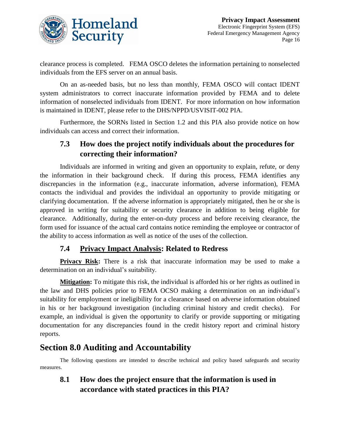

clearance process is completed. FEMA OSCO deletes the information pertaining to nonselected individuals from the EFS server on an annual basis.

On an as-needed basis, but no less than monthly, FEMA OSCO will contact IDENT system administrators to correct inaccurate information provided by FEMA and to delete information of nonselected individuals from IDENT. For more information on how information is maintained in IDENT, please refer to the DHS/NPPD/USVISIT-002 PIA.

Furthermore, the SORNs listed in Section 1.2 and this PIA also provide notice on how individuals can access and correct their information.

## **7.3 How does the project notify individuals about the procedures for correcting their information?**

Individuals are informed in writing and given an opportunity to explain, refute, or deny the information in their background check. If during this process, FEMA identifies any discrepancies in the information (e.g., inaccurate information, adverse information), FEMA contacts the individual and provides the individual an opportunity to provide mitigating or clarifying documentation. If the adverse information is appropriately mitigated, then he or she is approved in writing for suitability or security clearance in addition to being eligible for clearance. Additionally, during the enter-on-duty process and before receiving clearance, the form used for issuance of the actual card contains notice reminding the employee or contractor of the ability to access information as well as notice of the uses of the collection.

## **7.4 Privacy Impact Analysis: Related to Redress**

**Privacy Risk:** There is a risk that inaccurate information may be used to make a determination on an individual's suitability.

**Mitigation:** To mitigate this risk, the individual is afforded his or her rights as outlined in the law and DHS policies prior to FEMA OCSO making a determination on an individual's suitability for employment or ineligibility for a clearance based on adverse information obtained in his or her background investigation (including criminal history and credit checks). For example, an individual is given the opportunity to clarify or provide supporting or mitigating documentation for any discrepancies found in the credit history report and criminal history reports.

## **Section 8.0 Auditing and Accountability**

The following questions are intended to describe technical and policy based safeguards and security measures.

**8.1 How does the project ensure that the information is used in accordance with stated practices in this PIA?**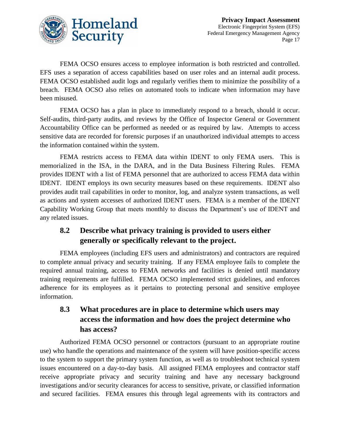

FEMA OCSO ensures access to employee information is both restricted and controlled. EFS uses a separation of access capabilities based on user roles and an internal audit process. FEMA OCSO established audit logs and regularly verifies them to minimize the possibility of a breach. FEMA OCSO also relies on automated tools to indicate when information may have been misused.

FEMA OCSO has a plan in place to immediately respond to a breach, should it occur. Self-audits, third-party audits, and reviews by the Office of Inspector General or Government Accountability Office can be performed as needed or as required by law. Attempts to access sensitive data are recorded for forensic purposes if an unauthorized individual attempts to access the information contained within the system.

FEMA restricts access to FEMA data within IDENT to only FEMA users. This is memorialized in the ISA, in the DARA, and in the Data Business Filtering Rules. FEMA provides IDENT with a list of FEMA personnel that are authorized to access FEMA data within IDENT. IDENT employs its own security measures based on these requirements. IDENT also provides audit trail capabilities in order to monitor, log, and analyze system transactions, as well as actions and system accesses of authorized IDENT users. FEMA is a member of the IDENT Capability Working Group that meets monthly to discuss the Department's use of IDENT and any related issues.

## **8.2 Describe what privacy training is provided to users either generally or specifically relevant to the project.**

FEMA employees (including EFS users and administrators) and contractors are required to complete annual privacy and security training. If any FEMA employee fails to complete the required annual training, access to FEMA networks and facilities is denied until mandatory training requirements are fulfilled. FEMA OCSO implemented strict guidelines, and enforces adherence for its employees as it pertains to protecting personal and sensitive employee information.

## **8.3 What procedures are in place to determine which users may access the information and how does the project determine who has access?**

Authorized FEMA OCSO personnel or contractors (pursuant to an appropriate routine use) who handle the operations and maintenance of the system will have position-specific access to the system to support the primary system function, as well as to troubleshoot technical system issues encountered on a day-to-day basis. All assigned FEMA employees and contractor staff receive appropriate privacy and security training and have any necessary background investigations and/or security clearances for access to sensitive, private, or classified information and secured facilities. FEMA ensures this through legal agreements with its contractors and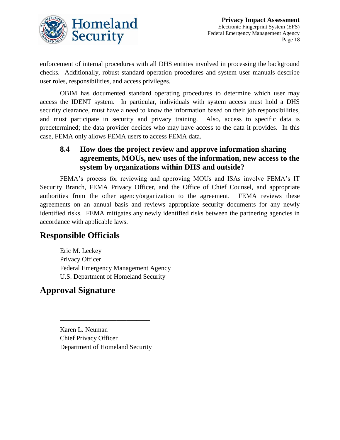

enforcement of internal procedures with all DHS entities involved in processing the background checks. Additionally, robust standard operation procedures and system user manuals describe user roles, responsibilities, and access privileges.

OBIM has documented standard operating procedures to determine which user may access the IDENT system. In particular, individuals with system access must hold a DHS security clearance, must have a need to know the information based on their job responsibilities, and must participate in security and privacy training. Also, access to specific data is predetermined; the data provider decides who may have access to the data it provides. In this case, FEMA only allows FEMA users to access FEMA data.

### **8.4 How does the project review and approve information sharing agreements, MOUs, new uses of the information, new access to the system by organizations within DHS and outside?**

FEMA's process for reviewing and approving MOUs and ISAs involve FEMA's IT Security Branch, FEMA Privacy Officer, and the Office of Chief Counsel, and appropriate authorities from the other agency/organization to the agreement. FEMA reviews these agreements on an annual basis and reviews appropriate security documents for any newly identified risks. FEMA mitigates any newly identified risks between the partnering agencies in accordance with applicable laws.

## **Responsible Officials**

Eric M. Leckey Privacy Officer Federal Emergency Management Agency U.S. Department of Homeland Security

## **Approval Signature**

Karen L. Neuman Chief Privacy Officer Department of Homeland Security

\_\_\_\_\_\_\_\_\_\_\_\_\_\_\_\_\_\_\_\_\_\_\_\_\_\_\_